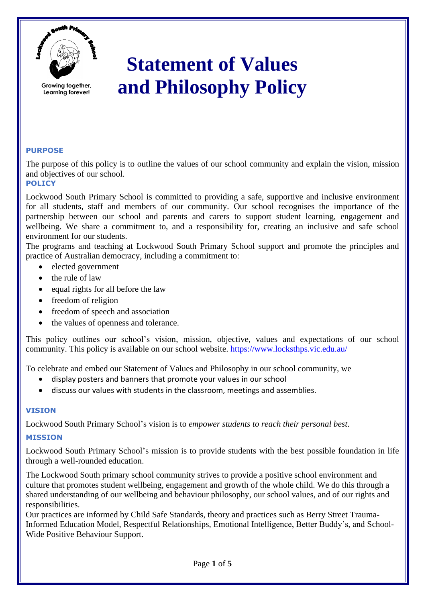

**Growing together, Learning forever!**

# **Statement of Values and Philosophy Policy**

# **PURPOSE**

The purpose of this policy is to outline the values of our school community and explain the vision, mission and objectives of our school.

# **POLICY**

Lockwood South Primary School is committed to providing a safe, supportive and inclusive environment for all students, staff and members of our community. Our school recognises the importance of the partnership between our school and parents and carers to support student learning, engagement and wellbeing. We share a commitment to, and a responsibility for, creating an inclusive and safe school environment for our students.

The programs and teaching at Lockwood South Primary School support and promote the principles and practice of Australian democracy, including a commitment to:

- elected government
- the rule of law
- equal rights for all before the law
- freedom of religion
- freedom of speech and association
- the values of openness and tolerance.

This policy outlines our school's vision, mission, objective, values and expectations of our school community. This policy is available on our school website.<https://www.locksthps.vic.edu.au/>

To celebrate and embed our Statement of Values and Philosophy in our school community, we

- display posters and banners that promote your values in our school
- discuss our values with students in the classroom, meetings and assemblies.

## **VISION**

Lockwood South Primary School's vision is to *empower students to reach their personal best*.

## **MISSION**

Lockwood South Primary School's mission is to provide students with the best possible foundation in life through a well-rounded education.

The Lockwood South primary school community strives to provide a positive school environment and culture that promotes student wellbeing, engagement and growth of the whole child. We do this through a shared understanding of our wellbeing and behaviour philosophy, our school values, and of our rights and responsibilities.

Our practices are informed by Child Safe Standards, theory and practices such as Berry Street Trauma-Informed Education Model, Respectful Relationships, Emotional Intelligence, Better Buddy's, and School-Wide Positive Behaviour Support.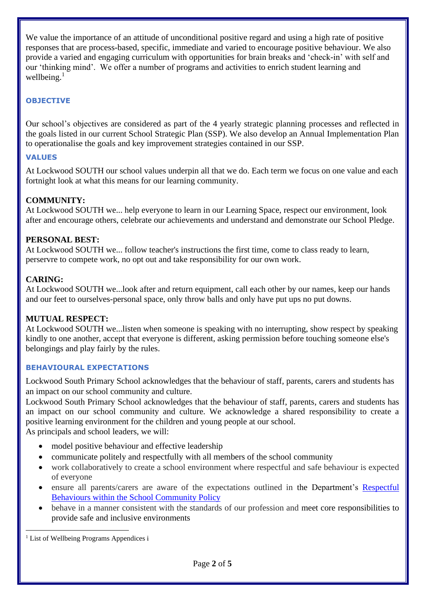We value the importance of an attitude of unconditional positive regard and using a high rate of positive responses that are process-based, specific, immediate and varied to encourage positive behaviour. We also provide a varied and engaging curriculum with opportunities for brain breaks and 'check-in' with self and our 'thinking mind'. We offer a number of programs and activities to enrich student learning and wellbeing. 1

# **OBJECTIVE**

Our school's objectives are considered as part of the 4 yearly strategic planning processes and reflected in the goals listed in our current School Strategic Plan (SSP). We also develop an Annual Implementation Plan to operationalise the goals and key improvement strategies contained in our SSP.

#### **VALUES**

At Lockwood SOUTH our school values underpin all that we do. Each term we focus on one value and each fortnight look at what this means for our learning community.

## **COMMUNITY:**

At Lockwood SOUTH we... help everyone to learn in our Learning Space, respect our environment, look after and encourage others, celebrate our achievements and understand and demonstrate our School Pledge.

#### **PERSONAL BEST:**

At Lockwood SOUTH we... follow teacher's instructions the first time, come to class ready to learn, perservre to compete work, no opt out and take responsibility for our own work.

#### **CARING:**

At Lockwood SOUTH we...look after and return equipment, call each other by our names, keep our hands and our feet to ourselves-personal space, only throw balls and only have put ups no put downs.

#### **MUTUAL RESPECT:**

At Lockwood SOUTH we...listen when someone is speaking with no interrupting, show respect by speaking kindly to one another, accept that everyone is different, asking permission before touching someone else's belongings and play fairly by the rules.

## **BEHAVIOURAL EXPECTATIONS**

Lockwood South Primary School acknowledges that the behaviour of staff, parents, carers and students has an impact on our school community and culture.

Lockwood South Primary School acknowledges that the behaviour of staff, parents, carers and students has an impact on our school community and culture. We acknowledge a shared responsibility to create a positive learning environment for the children and young people at our school.

As principals and school leaders, we will:

- model positive behaviour and effective leadership
- communicate politely and respectfully with all members of the school community
- work collaboratively to create a school environment where respectful and safe behaviour is expected of everyone
- ensure all parents/carers are aware of the expectations outlined in the Department's [Respectful](https://www.education.vic.gov.au/Pages/Respectful-Behaviours-within-the-School-Community-Policy.aspx)  [Behaviours within the School Community Policy](https://www.education.vic.gov.au/Pages/Respectful-Behaviours-within-the-School-Community-Policy.aspx)
- behave in a manner consistent with the standards of our profession and meet core responsibilities to provide safe and inclusive environments

<sup>1</sup> List of Wellbeing Programs Appendices i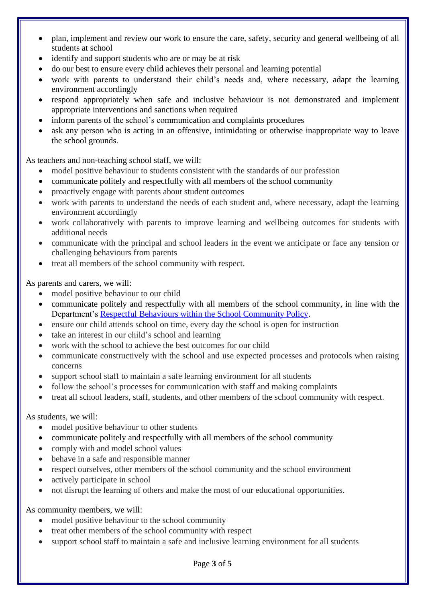- plan, implement and review our work to ensure the care, safety, security and general wellbeing of all students at school
- identify and support students who are or may be at risk
- do our best to ensure every child achieves their personal and learning potential
- work with parents to understand their child's needs and, where necessary, adapt the learning environment accordingly
- respond appropriately when safe and inclusive behaviour is not demonstrated and implement appropriate interventions and sanctions when required
- inform parents of the school's communication and complaints procedures
- ask any person who is acting in an offensive, intimidating or otherwise inappropriate way to leave the school grounds.

As teachers and non-teaching school staff, we will:

- model positive behaviour to students consistent with the standards of our profession
- communicate politely and respectfully with all members of the school community
- proactively engage with parents about student outcomes
- work with parents to understand the needs of each student and, where necessary, adapt the learning environment accordingly
- work collaboratively with parents to improve learning and wellbeing outcomes for students with additional needs
- communicate with the principal and school leaders in the event we anticipate or face any tension or challenging behaviours from parents
- treat all members of the school community with respect.

As parents and carers, we will:

- model positive behaviour to our child
- communicate politely and respectfully with all members of the school community, in line with the Department's [Respectful Behaviours within the School Community Policy.](https://www.education.vic.gov.au/Pages/Respectful-Behaviours-within-the-School-Community-Policy.aspx)
- ensure our child attends school on time, every day the school is open for instruction
- take an interest in our child's school and learning
- work with the school to achieve the best outcomes for our child
- communicate constructively with the school and use expected processes and protocols when raising concerns
- support school staff to maintain a safe learning environment for all students
- follow the school's processes for communication with staff and making complaints
- treat all school leaders, staff, students, and other members of the school community with respect.

As students, we will:

- model positive behaviour to other students
- communicate politely and respectfully with all members of the school community
- comply with and model school values
- behave in a safe and responsible manner
- respect ourselves, other members of the school community and the school environment
- actively participate in school
- not disrupt the learning of others and make the most of our educational opportunities.

As community members, we will:

- model positive behaviour to the school community
- treat other members of the school community with respect
- support school staff to maintain a safe and inclusive learning environment for all students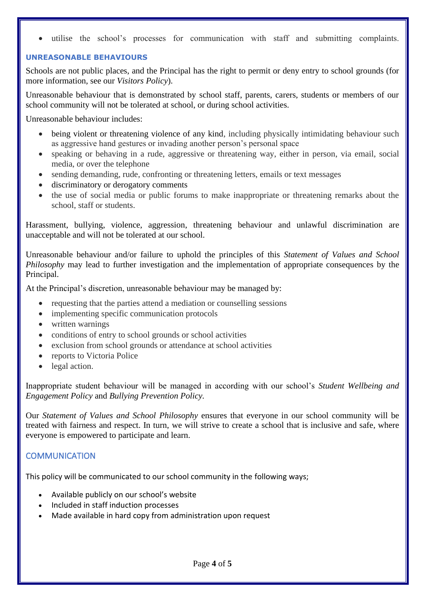utilise the school's processes for communication with staff and submitting complaints.

#### **UNREASONABLE BEHAVIOURS**

Schools are not public places, and the Principal has the right to permit or deny entry to school grounds (for more information, see our *Visitors Policy*).

Unreasonable behaviour that is demonstrated by school staff, parents, carers, students or members of our school community will not be tolerated at school, or during school activities.

Unreasonable behaviour includes:

- being violent or threatening violence of any kind, including physically intimidating behaviour such as aggressive hand gestures or invading another person's personal space
- speaking or behaving in a rude, aggressive or threatening way, either in person, via email, social media, or over the telephone
- sending demanding, rude, confronting or threatening letters, emails or text messages
- discriminatory or derogatory comments
- the use of social media or public forums to make inappropriate or threatening remarks about the school, staff or students.

Harassment, bullying, violence, aggression, threatening behaviour and unlawful discrimination are unacceptable and will not be tolerated at our school.

Unreasonable behaviour and/or failure to uphold the principles of this *Statement of Values and School Philosophy* may lead to further investigation and the implementation of appropriate consequences by the Principal.

At the Principal's discretion, unreasonable behaviour may be managed by:

- requesting that the parties attend a mediation or counselling sessions
- implementing specific communication protocols
- written warnings
- conditions of entry to school grounds or school activities
- exclusion from school grounds or attendance at school activities
- reports to Victoria Police
- legal action.

Inappropriate student behaviour will be managed in according with our school's *Student Wellbeing and Engagement Policy* and *Bullying Prevention Policy.*

Our *Statement of Values and School Philosophy* ensures that everyone in our school community will be treated with fairness and respect. In turn, we will strive to create a school that is inclusive and safe, where everyone is empowered to participate and learn.

# **COMMUNICATION**

This policy will be communicated to our school community in the following ways;

- Available publicly on our school's website
- Included in staff induction processes
- Made available in hard copy from administration upon request